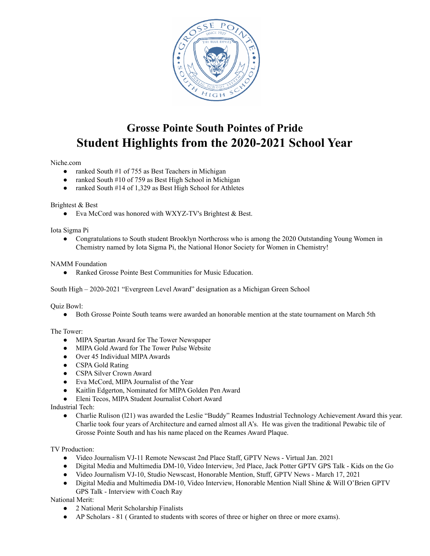

# **Grosse Pointe South Pointes of Pride Student Highlights from the 2020-2021 School Year**

#### Niche.com

- ranked South #1 of 755 as Best Teachers in Michigan
- ranked South #10 of 759 as Best High School in Michigan
- ranked South #14 of 1,329 as Best High School for Athletes

#### Brightest & Best

● Eva McCord was honored with WXYZ-TV's Brightest & Best.

Iota Sigma Pi

● Congratulations to South student Brooklyn Northcross who is among the 2020 Outstanding Young Women in Chemistry named by Iota Sigma Pi, the National Honor Society for Women in Chemistry!

#### NAMM Foundation

● Ranked Grosse Pointe Best Communities for Music Education.

South High – 2020-2021 "Evergreen Level Award" designation as a Michigan Green School

Quiz Bowl:

● Both Grosse Pointe South teams were awarded an honorable mention at the state tournament on March 5th

The Tower:

- MIPA Spartan Award for The Tower Newspaper
- MIPA Gold Award for The Tower Pulse Website
- Over 45 Individual MIPA Awards
- CSPA Gold Rating
- CSPA Silver Crown Award
- Eva McCord, MIPA Journalist of the Year
- Kaitlin Edgerton, Nominated for MIPA Golden Pen Award
- Eleni Tecos, MIPA Student Journalist Cohort Award

Industrial Tech:

• Charlie Rulison (121) was awarded the Leslie "Buddy" Reames Industrial Technology Achievement Award this year. Charlie took four years of Architecture and earned almost all A's. He was given the traditional Pewabic tile of Grosse Pointe South and has his name placed on the Reames Award Plaque.

TV Production:

- Video Journalism VJ-11 Remote Newscast 2nd Place Staff, GPTV News Virtual Jan. 2021
- Digital Media and Multimedia DM-10, Video Interview, 3rd Place, Jack Potter GPTV GPS Talk Kids on the Go
- Video Journalism VJ-10, Studio Newscast, Honorable Mention, Stuff, GPTV News March 17, 2021
- Digital Media and Multimedia DM-10, Video Interview, Honorable Mention Niall Shine & Will O'Brien GPTV GPS Talk - Interview with Coach Ray

National Merit:

- 2 National Merit Scholarship Finalists
- AP Scholars 81 ( Granted to students with scores of three or higher on three or more exams).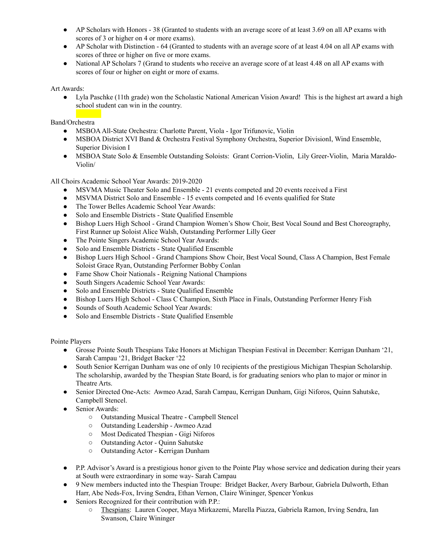- AP Scholars with Honors 38 (Granted to students with an average score of at least 3.69 on all AP exams with scores of 3 or higher on 4 or more exams).
- AP Scholar with Distinction 64 (Granted to students with an average score of at least 4.04 on all AP exams with scores of three or higher on five or more exams.
- National AP Scholars 7 (Grand to students who receive an average score of at least 4.48 on all AP exams with scores of four or higher on eight or more of exams.

Art Awards:

● Lyla Paschke (11th grade) won the Scholastic National American Vision Award! This is the highest art award a high school student can win in the country.

Band/Orchestra

- MSBOAAll-State Orchestra: Charlotte Parent, Viola Igor Trifunovic, Violin
- MSBOA District XVI Band & Orchestra Festival Symphony Orchestra, Superior DivisionI, Wind Ensemble, Superior Division I
- MSBOA State Solo & Ensemble Outstanding Soloists: Grant Corrion-Violin, Lily Greer-Violin, Maria Maraldo-Violin/

All Choirs Academic School Year Awards: 2019-2020

- MSVMA Music Theater Solo and Ensemble 21 events competed and 20 events received a First
- MSVMA District Solo and Ensemble 15 events competed and 16 events qualified for State
- The Tower Belles Academic School Year Awards:
- Solo and Ensemble Districts State Qualified Ensemble
- Bishop Luers High School Grand Champion Women's Show Choir, Best Vocal Sound and Best Choreography, First Runner up Soloist Alice Walsh, Outstanding Performer Lilly Geer
- The Pointe Singers Academic School Year Awards:
- Solo and Ensemble Districts State Qualified Ensemble
- Bishop Luers High School Grand Champions Show Choir, Best Vocal Sound, Class A Champion, Best Female Soloist Grace Ryan, Outstanding Performer Bobby Conlan
- Fame Show Choir Nationals Reigning National Champions
- South Singers Academic School Year Awards:
- Solo and Ensemble Districts State Qualified Ensemble
- Bishop Luers High School Class C Champion, Sixth Place in Finals, Outstanding Performer Henry Fish
- Sounds of South Academic School Year Awards:
- Solo and Ensemble Districts State Qualified Ensemble

Pointe Players

- Grosse Pointe South Thespians Take Honors at Michigan Thespian Festival in December: Kerrigan Dunham '21, Sarah Campau '21, Bridget Backer '22
- South Senior Kerrigan Dunham was one of only 10 recipients of the prestigious Michigan Thespian Scholarship. The scholarship, awarded by the Thespian State Board, is for graduating seniors who plan to major or minor in Theatre Arts.
- Senior Directed One-Acts: Awmeo Azad, Sarah Campau, Kerrigan Dunham, Gigi Niforos, Quinn Sahutske, Campbell Stencel.
- Senior Awards:
	- Outstanding Musical Theatre Campbell Stencel
	- Outstanding Leadership Awmeo Azad
	- Most Dedicated Thespian Gigi Niforos
	- Outstanding Actor Quinn Sahutske
	- Outstanding Actor Kerrigan Dunham
- P.P. Advisor's Award is a prestigious honor given to the Pointe Play whose service and dedication during their years at South were extraordinary in some way- Sarah Campau
- 9 New members inducted into the Thespian Troupe: Bridget Backer, Avery Barbour, Gabriela Dulworth, Ethan Harr, Abe Neds-Fox, Irving Sendra, Ethan Vernon, Claire Wininger, Spencer Yonkus
- Seniors Recognized for their contribution with P.P.:
	- Thespians: Lauren Cooper, Maya Mirkazemi, Marella Piazza, Gabriela Ramon, Irving Sendra, Ian Swanson, Claire Wininger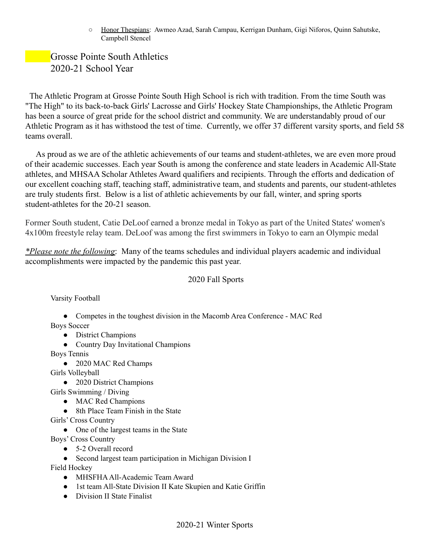○ Honor Thespians: Awmeo Azad, Sarah Campau, Kerrigan Dunham, Gigi Niforos, Quinn Sahutske, Campbell Stencel

## Grosse Pointe South Athletics 2020-21 School Year

The Athletic Program at Grosse Pointe South High School is rich with tradition. From the time South was "The High" to its back-to-back Girls' Lacrosse and Girls' Hockey State Championships, the Athletic Program has been a source of great pride for the school district and community. We are understandably proud of our Athletic Program as it has withstood the test of time. Currently, we offer 37 different varsity sports, and field 58 teams overall.

As proud as we are of the athletic achievements of our teams and student-athletes, we are even more proud of their academic successes. Each year South is among the conference and state leaders in Academic All-State athletes, and MHSAA Scholar Athletes Award qualifiers and recipients. Through the efforts and dedication of our excellent coaching staff, teaching staff, administrative team, and students and parents, our student-athletes are truly students first. Below is a list of athletic achievements by our fall, winter, and spring sports student-athletes for the 20-21 season.

Former South student, Catie DeLoof earned a bronze medal in Tokyo as part of the United States' women's 4x100m freestyle relay team. DeLoof was among the first swimmers in Tokyo to earn an Olympic medal

*\*Please note the following*: Many of the teams schedules and individual players academic and individual accomplishments were impacted by the pandemic this past year.

### 2020 Fall Sports

Varsity Football

- Competes in the toughest division in the Macomb Area Conference MAC Red Boys Soccer
	- District Champions
	- Country Day Invitational Champions

Boys Tennis

- 2020 MAC Red Champs
- Girls Volleyball
	- 2020 District Champions
- Girls Swimming / Diving
	- MAC Red Champions
	- 8th Place Team Finish in the State
- Girls' Cross Country
	- One of the largest teams in the State

Boys' Cross Country

- 5-2 Overall record
- Second largest team participation in Michigan Division I

Field Hockey

- MHSFHAAll-Academic Team Award
- 1st team All-State Division II Kate Skupien and Katie Griffin
- Division II State Finalist